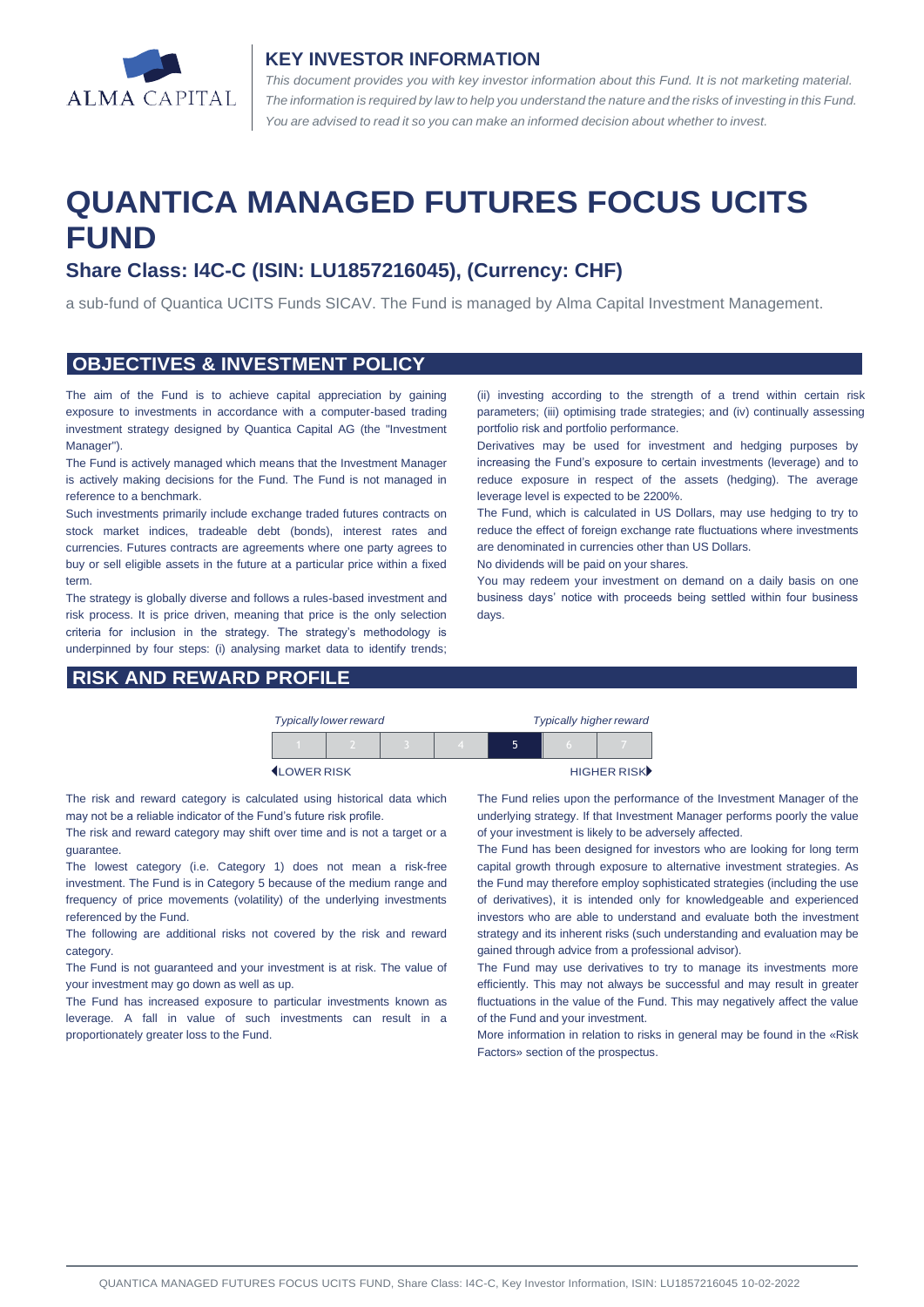

#### **KEY INVESTOR INFORMATION**

*This document provides you with key investor information about this Fund. It is not marketing material.*  The information is required by law to help you understand the nature and the risks of investing in this Fund. *You are advised to read it so you can make an informed decision about whether to invest.*

# **QUANTICA MANAGED FUTURES FOCUS UCITS FUND**

# **Share Class: I4C-C (ISIN: LU1857216045), (Currency: CHF)**

a sub-fund of Quantica UCITS Funds SICAV. The Fund is managed by Alma Capital Investment Management.

#### **OBJECTIVES & INVESTMENT POLICY**

The aim of the Fund is to achieve capital appreciation by gaining exposure to investments in accordance with a computer-based trading investment strategy designed by Quantica Capital AG (the "Investment Manager").

The Fund is actively managed which means that the Investment Manager is actively making decisions for the Fund. The Fund is not managed in reference to a benchmark.

Such investments primarily include exchange traded futures contracts on stock market indices, tradeable debt (bonds), interest rates and currencies. Futures contracts are agreements where one party agrees to buy or sell eligible assets in the future at a particular price within a fixed term.

The strategy is globally diverse and follows a rules-based investment and risk process. It is price driven, meaning that price is the only selection criteria for inclusion in the strategy. The strategy's methodology is underpinned by four steps: (i) analysing market data to identify trends;

# **RISK AND REWARD PROFILE**

(ii) investing according to the strength of a trend within certain risk parameters; (iii) optimising trade strategies; and (iv) continually assessing portfolio risk and portfolio performance.

Derivatives may be used for investment and hedging purposes by increasing the Fund's exposure to certain investments (leverage) and to reduce exposure in respect of the assets (hedging). The average leverage level is expected to be 2200%.

The Fund, which is calculated in US Dollars, may use hedging to try to reduce the effect of foreign exchange rate fluctuations where investments are denominated in currencies other than US Dollars.

No dividends will be paid on your shares.

You may redeem your investment on demand on a daily basis on one business days' notice with proceeds being settled within four business days.

|                    | <b>Typically lower reward</b> |  | <b>Typically higher reward</b> |  |   |             |
|--------------------|-------------------------------|--|--------------------------------|--|---|-------------|
|                    |                               |  |                                |  | h |             |
| <b>ILOWER RISK</b> |                               |  |                                |  |   | HIGHER RISK |

The risk and reward category is calculated using historical data which may not be a reliable indicator of the Fund's future risk profile.

The risk and reward category may shift over time and is not a target or a guarantee.

The lowest category (i.e. Category 1) does not mean a risk-free investment. The Fund is in Category 5 because of the medium range and frequency of price movements (volatility) of the underlying investments referenced by the Fund.

The following are additional risks not covered by the risk and reward category.

The Fund is not guaranteed and your investment is at risk. The value of your investment may go down as well as up.

The Fund has increased exposure to particular investments known as leverage. A fall in value of such investments can result in a proportionately greater loss to the Fund.

The Fund relies upon the performance of the Investment Manager of the underlying strategy. If that Investment Manager performs poorly the value of your investment is likely to be adversely affected.

The Fund has been designed for investors who are looking for long term capital growth through exposure to alternative investment strategies. As the Fund may therefore employ sophisticated strategies (including the use of derivatives), it is intended only for knowledgeable and experienced investors who are able to understand and evaluate both the investment strategy and its inherent risks (such understanding and evaluation may be gained through advice from a professional advisor).

The Fund may use derivatives to try to manage its investments more efficiently. This may not always be successful and may result in greater fluctuations in the value of the Fund. This may negatively affect the value of the Fund and your investment.

More information in relation to risks in general may be found in the «Risk Factors» section of the prospectus.